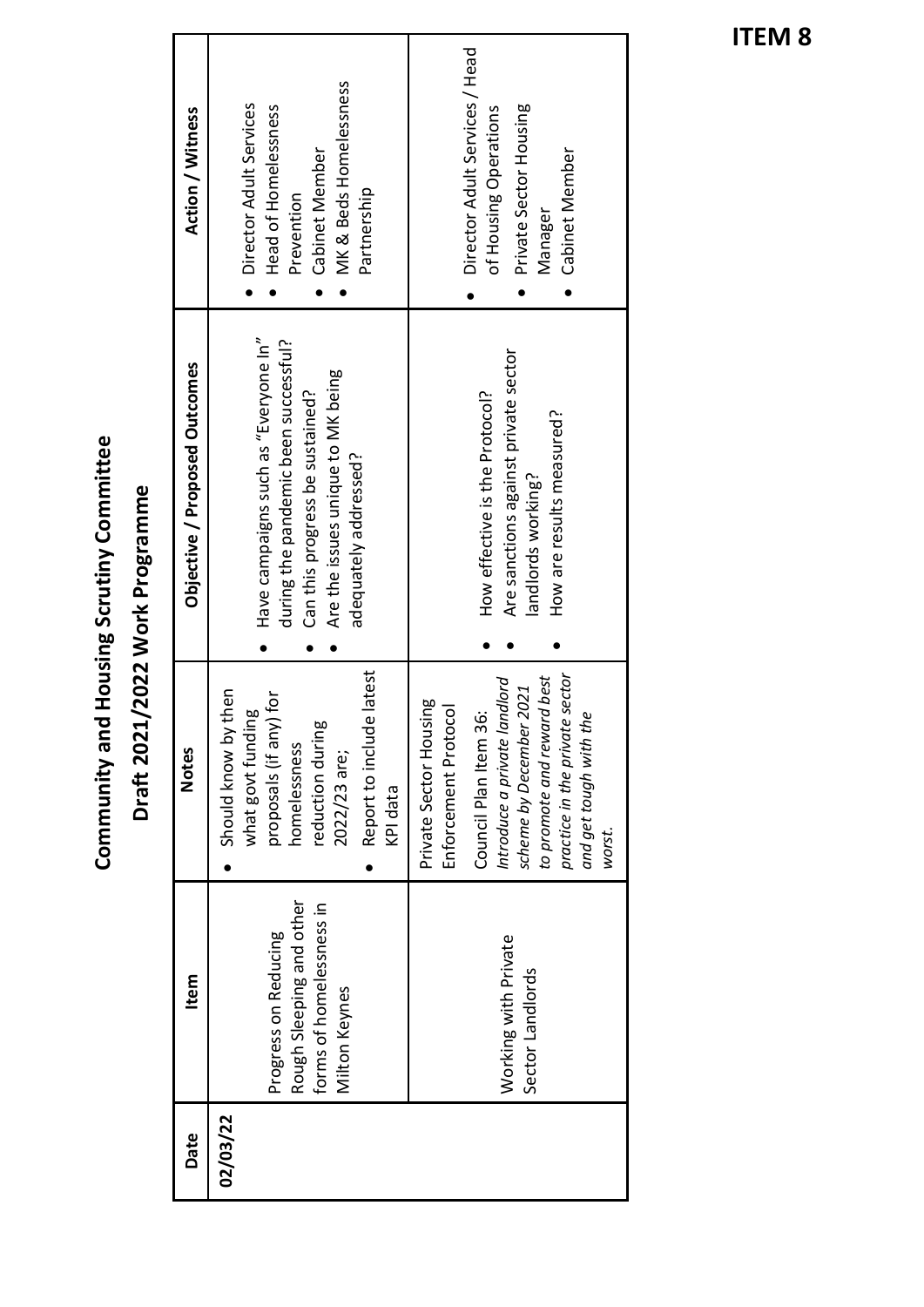| <b>Action / Witness</b>       | MK & Beds Homelessness<br>Director Adult Services<br>Head of Homelessness<br>Cabinet Member<br>Partnership<br>Prevention                                                      | Director Adult Services / Head<br>Private Sector Housing<br>of Housing Operations<br>Cabinet Member<br>Manager                                                                                                                                  |
|-------------------------------|-------------------------------------------------------------------------------------------------------------------------------------------------------------------------------|-------------------------------------------------------------------------------------------------------------------------------------------------------------------------------------------------------------------------------------------------|
| Objective / Proposed Outcomes | Have campaigns such as "Everyone In"<br>during the pandemic been successful?<br>Are the issues unique to MK being<br>Can this progress be sustained?<br>adequately addressed? | Are sanctions against private sector<br>How effective is the Protocol?<br>How are results measured?<br>landlords working?                                                                                                                       |
| <b>Notes</b>                  | Report to include latest<br>Should know by then<br>proposals (if any) for<br>what govt funding<br>60<br>reduction durin<br>homelessness<br>2022/23 are;<br>KPI data           | practice in the private sector<br>to promote and reward best<br>landlord<br>scheme by December 2021<br>Private Sector Housing<br>Enforcement Protocol<br>36:<br>the<br>Council Plan Item<br>Introduce a private<br>and get tough with<br>worst. |
| Item                          | Rough Sleeping and other<br>forms of homelessness in<br>Progress on Reducing<br>Milton Keynes                                                                                 | Working with Private<br>Sector Landlords                                                                                                                                                                                                        |
| Date                          | 02/03/22                                                                                                                                                                      |                                                                                                                                                                                                                                                 |

Community and Housing Scrutiny Committee Draft 2021/2022 Work Programme **Draft 2021/2022 Work Programme**

**Community and Housing Scrutiny Committee**